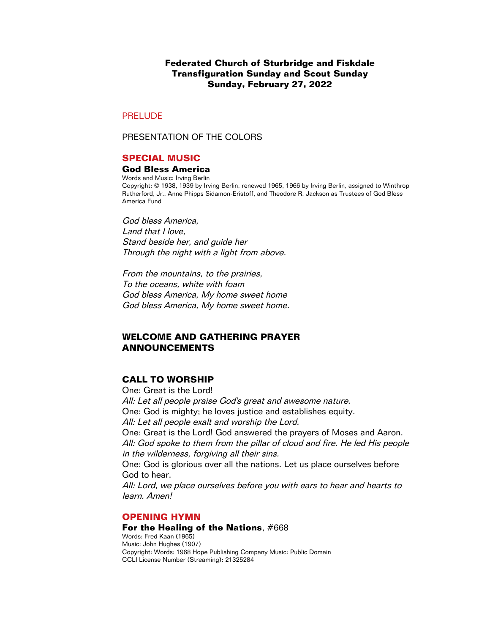## **Federated Church of Sturbridge and Fiskdale Transfiguration Sunday and Scout Sunday Sunday, February 27, 2022**

## PRELUDE

## PRESENTATION OF THE COLORS

## **SPECIAL MUSIC**

### **God Bless America**

Words and Music: Irving Berlin Copyright: © 1938, 1939 by Irving Berlin, renewed 1965, 1966 by Irving Berlin, assigned to Winthrop Rutherford, Jr., Anne Phipps Sidamon-Eristoff, and Theodore R. Jackson as Trustees of God Bless America Fund

God bless America, Land that I love, Stand beside her, and guide her Through the night with a light from above.

From the mountains, to the prairies, To the oceans, white with foam God bless America, My home sweet home God bless America, My home sweet home.

## **WELCOME AND GATHERING PRAYER ANNOUNCEMENTS**

## **CALL TO WORSHIP**

One: Great is the Lord! All: Let all people praise God's great and awesome nature. One: God is mighty; he loves justice and establishes equity. All: Let all people exalt and worship the Lord. One: Great is the Lord! God answered the prayers of Moses and Aaron. All: God spoke to them from the pillar of cloud and fire. He led His people in the wilderness, forgiving all their sins. One: God is glorious over all the nations. Let us place ourselves before God to hear.

All: Lord, we place ourselves before you with ears to hear and hearts to learn. Amen!

## **OPENING HYMN**

#### **For the Healing of the Nations**, #668 Words: Fred Kaan (1965) Music: John Hughes (1907) Copyright: Words: 1968 Hope Publishing Company Music: Public Domain CCLI License Number (Streaming): 21325284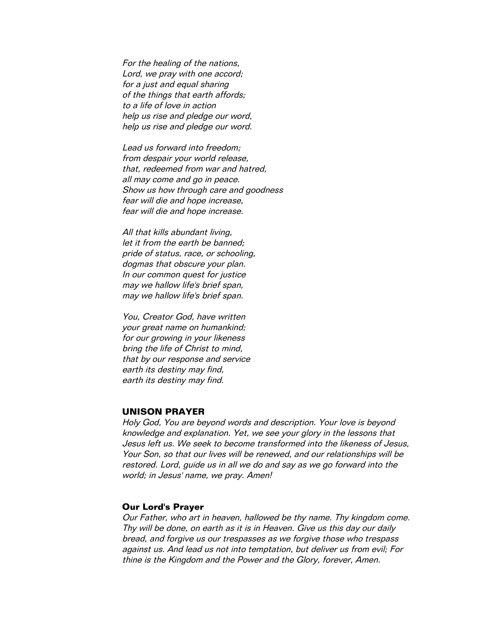For the healing of the nations, Lord, we pray with one accord; for a just and equal sharing of the things that earth affords; to a life of love in action help us rise and pledge our word, help us rise and pledge our word.

Lead us forward into freedom; from despair your world release, that, redeemed from war and hatred, all may come and go in peace. Show us how through care and goodness fear will die and hope increase, fear will die and hope increase.

All that kills abundant living, let it from the earth be banned; pride of status, race, or schooling, dogmas that obscure your plan. In our common quest for justice may we hallow life's brief span, may we hallow life's brief span.

You, Creator God, have written your great name on humankind; for our growing in your likeness bring the life of Christ to mind, that by our response and service earth its destiny may find, earth its destiny may find.

## **UNISON PRAYER**

Holy God, You are beyond words and description. Your love is beyond knowledge and explanation. Yet, we see your glory in the lessons that Jesus left us. We seek to become transformed into the likeness of Jesus, Your Son, so that our lives will be renewed, and our relationships will be restored. Lord, guide us in all we do and say as we go forward into the world; in Jesus' name, we pray. Amen!

### **Our Lord's Prayer**

Our Father, who art in heaven, hallowed be thy name. Thy kingdom come. Thy will be done, on earth as it is in Heaven. Give us this day our daily bread, and forgive us our trespasses as we forgive those who trespass against us. And lead us not into temptation, but deliver us from evil; For thine is the Kingdom and the Power and the Glory, forever, Amen.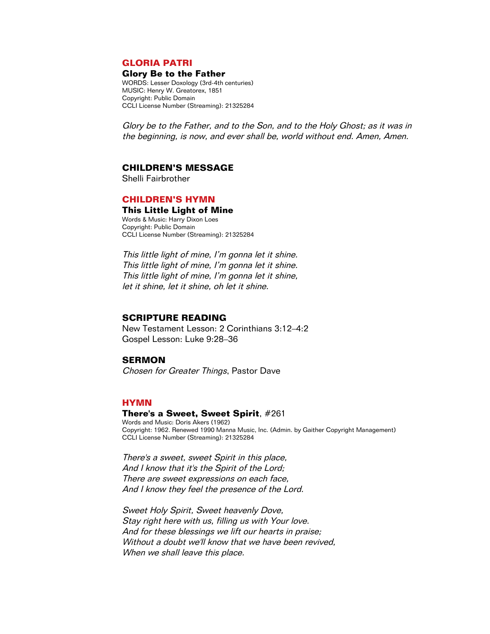## **GLORIA PATRI**

### **Glory Be to the Father**

WORDS: Lesser Doxology (3rd-4th centuries) MUSIC: Henry W. Greatorex, 1851 Copyright: Public Domain CCLI License Number (Streaming): 21325284

Glory be to the Father, and to the Son, and to the Holy Ghost; as it was in the beginning, is now, and ever shall be, world without end. Amen, Amen.

### **CHILDREN'S MESSAGE**

Shelli Fairbrother

## **CHILDREN'S HYMN**

**This Little Light of Mine** Words & Music: Harry Dixon Loes Copyright: Public Domain CCLI License Number (Streaming): 21325284

This little light of mine, I'm gonna let it shine. This little light of mine, I'm gonna let it shine. This little light of mine, I'm gonna let it shine, let it shine, let it shine, oh let it shine.

## **SCRIPTURE READING**

New Testament Lesson: 2 Corinthians 3:12–4:2 Gospel Lesson: Luke 9:28–36

### **SERMON**

Chosen for Greater Things, Pastor Dave

### **HYMN**

### **There's a Sweet, Sweet Spirit**, #261

Words and Music: Doris Akers (1962) Copyright: 1962. Renewed 1990 Manna Music, Inc. (Admin. by Gaither Copyright Management) CCLI License Number (Streaming): 21325284

There's a sweet, sweet Spirit in this place, And I know that it's the Spirit of the Lord; There are sweet expressions on each face, And I know they feel the presence of the Lord.

Sweet Holy Spirit, Sweet heavenly Dove, Stay right here with us, filling us with Your love. And for these blessings we lift our hearts in praise; Without a doubt we'll know that we have been revived, When we shall leave this place.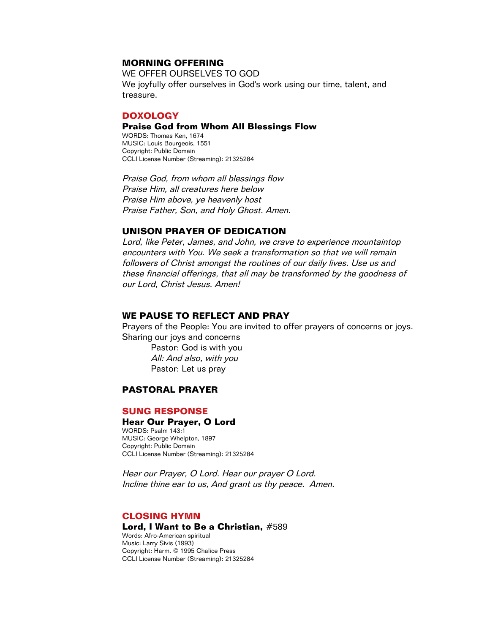## **MORNING OFFERING**

#### WE OFFER OURSELVES TO GOD

We joyfully offer ourselves in God's work using our time, talent, and treasure.

## **DOXOLOGY**

### **Praise God from Whom All Blessings Flow**

WORDS: Thomas Ken, 1674 MUSIC: Louis Bourgeois, 1551 Copyright: Public Domain CCLI License Number (Streaming): 21325284

Praise God, from whom all blessings flow Praise Him, all creatures here below Praise Him above, ye heavenly host Praise Father, Son, and Holy Ghost. Amen.

## **UNISON PRAYER OF DEDICATION**

Lord, like Peter, James, and John, we crave to experience mountaintop encounters with You. We seek a transformation so that we will remain followers of Christ amongst the routines of our daily lives. Use us and these financial offerings, that all may be transformed by the goodness of our Lord, Christ Jesus. Amen!

### **WE PAUSE TO REFLECT AND PRAY**

Prayers of the People: You are invited to offer prayers of concerns or joys. Sharing our joys and concerns

Pastor: God is with you All: And also, with you Pastor: Let us pray

## **PASTORAL PRAYER**

### **SUNG RESPONSE**

### **Hear Our Prayer, O Lord**

WORDS: Psalm 143:1 MUSIC: George Whelpton, 1897 Copyright: Public Domain CCLI License Number (Streaming): 21325284

Hear our Prayer, O Lord. Hear our prayer O Lord. Incline thine ear to us, And grant us thy peace. Amen.

## **CLOSING HYMN**

#### **Lord, I Want to Be a Christian,** #589

Words: Afro-American spiritual Music: Larry Sivis (1993) Copyright: Harm. © 1995 Chalice Press CCLI License Number (Streaming): 21325284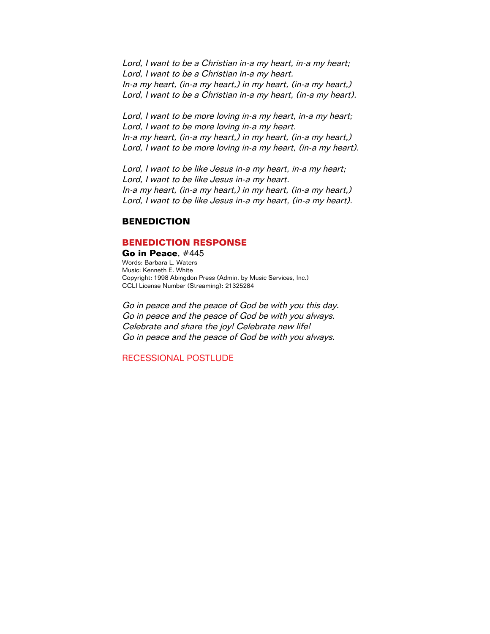Lord, I want to be a Christian in-a my heart, in-a my heart; Lord, I want to be a Christian in-a my heart. In-a my heart, (in-a my heart,) in my heart, (in-a my heart,) Lord, I want to be a Christian in-a my heart, (in-a my heart).

Lord, I want to be more loving in-a my heart, in-a my heart; Lord, I want to be more loving in-a my heart. In-a my heart, (in-a my heart,) in my heart, (in-a my heart,) Lord, I want to be more loving in-a my heart, (in-a my heart).

Lord, I want to be like Jesus in-a my heart, in-a my heart; Lord, I want to be like Jesus in-a my heart. In-a my heart, (in-a my heart,) in my heart, (in-a my heart,) Lord, I want to be like Jesus in-a my heart, (in-a my heart).

# **BENEDICTION**

## **BENEDICTION RESPONSE**

**Go in Peace**, #445 Words: Barbara L. Waters

Music: Kenneth E. White Copyright: 1998 Abingdon Press (Admin. by Music Services, Inc.) CCLI License Number (Streaming): 21325284

Go in peace and the peace of God be with you this day. Go in peace and the peace of God be with you always. Celebrate and share the joy! Celebrate new life! Go in peace and the peace of God be with you always.

# RECESSIONAL POSTLUDE